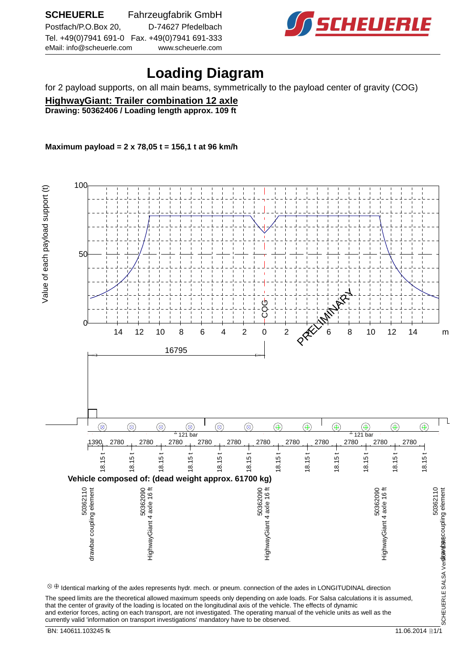

## **Loading Diagram**

for 2 payload supports, on all main beams, symmetrically to the payload center of gravity (COG)

**HighwayGiant: Trailer combination 12 axle Drawing: 50362406 / Loading length approx. 109 ft**

**Maximum payload = 2 x 78,05 t = 156,1 t at 96 km/h**

 100 Value of each payload support (t) Value of each payloge is entered. 50 PRELIMINARY COG  $0<sup>+</sup>$  14 12 10 8 6 4 2 0 2 K 6 8 10 12 14 m 16795 ٦  $\circledR$  $\circledcirc$  $\circledcirc$  $\circledcirc$  $\circledR$  $^{\circledR}$  $\circledR$  $\circledR$  $\circledR$  $\circledcirc$  $\circledcirc$  $^{\circledR}$  $^{\circ}$  121 bar 121 bar 121 bar 121 bar 121 bar 121 bar 121 bar 121 bar 121 bar 121 bar 121 bar 121 bar 121 bar 121 bar 121 bar 121 bar 121 bar 121 bar 121 bar 121 bar 121 bar 121 bar 121 bar 121 bar 121 bar 121 bar 121 ba 1390 2780 2780 2780 2780 2780 2780 2780 2780 2780 2780 2780 18.15 t 18.15 t 18.15 t 18.15 t 18.15 t 18.15 t 18.15 t 18.15 t 18.15 t 18.15 t 18.15 t 18.15 t **Vehicle composed of: (dead weight approx. 61700 kg)** 50362090<br>HighwayGiant 4 axle 16 ft 5036203<br>06029803<br>06029803 5036203<br>1191 More + hosiOyewngiHi 50362110<br>50362110<br>SCHEUERLE SALSA Ver**sitewica**8coupling element 50362110<br>drawbar coupling element drawbar coupling element HighwayGiant 4 axle 16 ft HighwayGiant 4 axle 16 ft HighwayGiant 4 axle 16 ft drawbar coupling element SCHEUERLE SALSA Ver**sitavicas**  $\otimes\oplus$  Identical marking of the axles represents hydr. mech. or pneum. connection of the axles in LONGITUDINAL direction The speed limits are the theoretical allowed maximum speeds only depending on axle loads. For Salsa calculations it is assumed,

that the center of gravity of the loading is located on the longitudinal axis of the vehicle. The effects of dynamic and exterior forces, acting on each transport, are not investigated. The operating manual of the vehicle units as well as the currently valid 'information on transport investigations' mandatory have to be observed.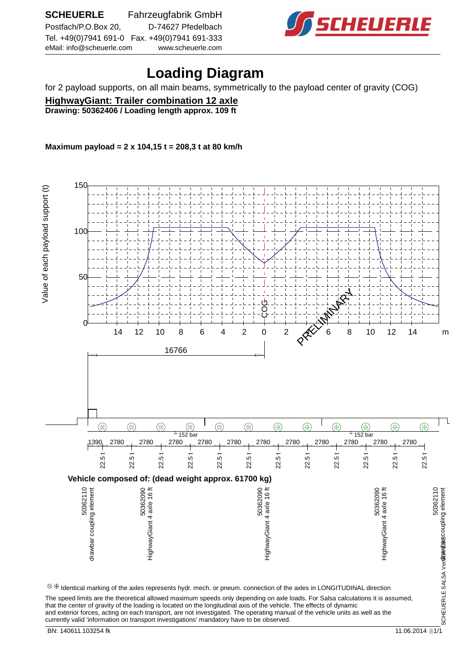

## **Loading Diagram**

for 2 payload supports, on all main beams, symmetrically to the payload center of gravity (COG)

**HighwayGiant: Trailer combination 12 axle Drawing: 50362406 / Loading length approx. 109 ft**

**Maximum payload = 2 x 104,15 t = 208,3 t at 80 km/h**

 150 Value of each payload support (t) Value of each payloge is entered. 100  $\overline{5}$ PRELIMINARY .<br>ებ  $0<sup>+</sup>$  14 12 10 8 6 4 2 0 2 **AV 6** 8 10 12 14 m 16766 ٦  $\circledR$  $\circledcirc$  $\circledcirc$  $\circledcirc$  $\circledR$  $^{\circledR}$  $\circledR$  $\circledR$  $\circledR$  $\circledcirc$  $\circledcirc$  $^{\circledR}$  $^{\circ}$  152 bar  $^{\circ}$  152 bar 1390 2780 2780 2780 2780 2780 2780 2780 2780 2780 2780 2780 22.5 t 22.5 t 22.5 t 22.5 t 22.5 t 22.5 t 22.5 t 22.5 t 22.5 t 22.5 t 22.5 t 22.5 t **Vehicle composed of: (dead weight approx. 61700 kg)** 50362030<br>6023605<br>6023605 5036203<br>06029803<br>06029803 5036203<br>1191 More + hosiOyewngiHi 50362110<br>50362110<br>SCHEUERLE SALSA Ver**sitewica**8coupling element 50362110<br>drawbar coupling element drawbar coupling element HighwayGiant 4 axle 16 ft HighwayGiant 4 axle 16 ft HighwayGiant 4 axle 16 ft drawbar coupling element SCHEUERLE SALSA Ver**sitavicas**  $\otimes\oplus$  Identical marking of the axles represents hydr. mech. or pneum. connection of the axles in LONGITUDINAL direction The speed limits are the theoretical allowed maximum speeds only depending on axle loads. For Salsa calculations it is assumed, that the center of gravity of the loading is located on the longitudinal axis of the vehicle. The effects of dynamic

and exterior forces, acting on each transport, are not investigated. The operating manual of the vehicle units as well as the currently valid 'information on transport investigations' mandatory have to be observed. BN: 140611.103254 fk 11.06.2014 http://www.fract.com/distance/setter/setter/setter/setter/setter/setter/setter/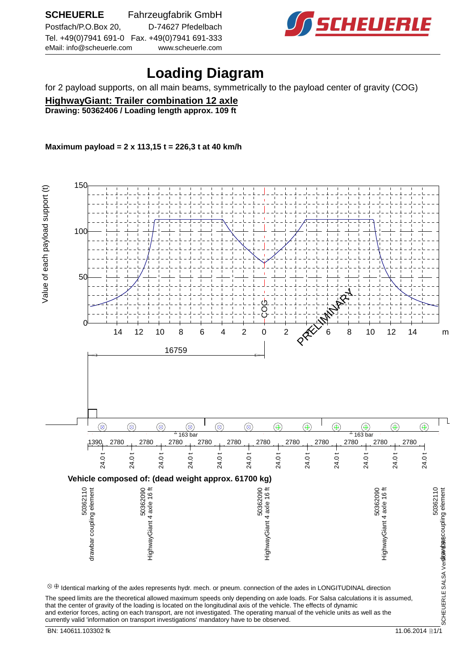

## **Loading Diagram**

for 2 payload supports, on all main beams, symmetrically to the payload center of gravity (COG)

**HighwayGiant: Trailer combination 12 axle Drawing: 50362406 / Loading length approx. 109 ft**

**Maximum payload = 2 x 113,15 t = 226,3 t at 40 km/h**

 150 Value of each payload support (t) Value of each payloge is entered. 100  $\overline{5}$ PRELIMINARY COG  $0<sup>+</sup>$  14 12 10 8 6 4 2 0 2 **AV 6** 8 10 12 14 m 16759 ٦  $\circledR$  $\circledcirc$  $\circledcirc$  $\circledcirc$  $\circledR$  $^{\circledR}$  $\circledR$  $\circledR$  $\circledR$  $\circledcirc$  $\circledcirc$  $^{\circledR}$  $^{\circ}$  163 bar  $^{\circ}$  163 bar 1390 2780 2780 2780 2780 2780 2780 2780 2780 2780 2780 2780 24.0 t 24.0 t 24.0 t 24.0 t 24.0 t 24.0 t 24.0 t 24.0 t 24.0 t 24.0 t 24.0 t 24.0 t **Vehicle composed of: (dead weight approx. 61700 kg)** 50362030<br>6023605<br>6023605 5036203<br>06029803<br>06029803 5036203<br>1191 More + hosiOyewngiHi 50362110<br>50362110<br>SCHEUERLE SALSA Ver**sitewica**8coupling element 50362110<br>drawbar coupling element drawbar coupling element HighwayGiant 4 axle 16 ft HighwayGiant 4 axle 16 ft HighwayGiant 4 axle 16 ft drawbar coupling element SCHEUERLE SALSA Ver**sitavicas**  $\otimes\oplus$  Identical marking of the axles represents hydr. mech. or pneum. connection of the axles in LONGITUDINAL direction The speed limits are the theoretical allowed maximum speeds only depending on axle loads. For Salsa calculations it is assumed, that the center of gravity of the loading is located on the longitudinal axis of the vehicle. The effects of dynamic

and exterior forces, acting on each transport, are not investigated. The operating manual of the vehicle units as well as the

currently valid 'information on transport investigations' mandatory have to be observed.